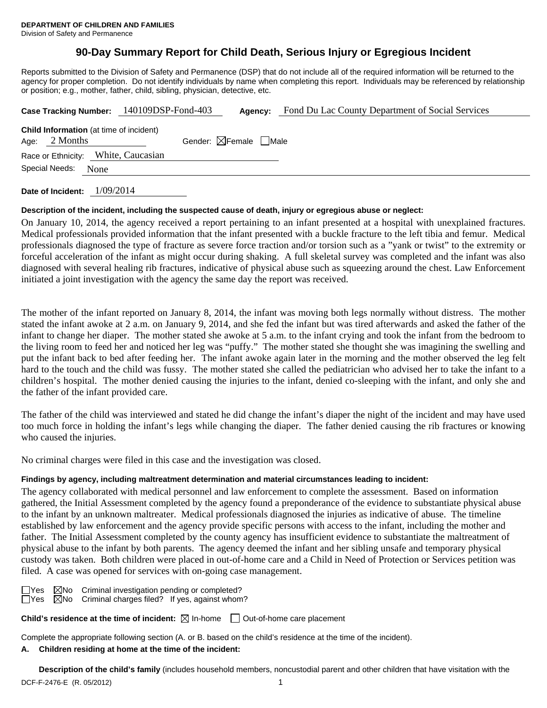# **90-Day Summary Report for Child Death, Serious Injury or Egregious Incident**

Reports submitted to the Division of Safety and Permanence (DSP) that do not include all of the required information will be returned to the agency for proper completion. Do not identify individuals by name when completing this report. Individuals may be referenced by relationship or position; e.g., mother, father, child, sibling, physician, detective, etc.

|                                                                   |      | Case Tracking Number: 140109DSP-Fond-403 | Agency:                                | Fond Du Lac County Department of Social Services |
|-------------------------------------------------------------------|------|------------------------------------------|----------------------------------------|--------------------------------------------------|
| <b>Child Information</b> (at time of incident)<br>Age: $2$ Months |      |                                          | Gender: $\boxtimes$ Female $\Box$ Male |                                                  |
| Race or Ethnicity: White, Caucasian                               |      |                                          |                                        |                                                  |
| Special Needs:                                                    | None |                                          |                                        |                                                  |
|                                                                   |      |                                          |                                        |                                                  |

**Date of Incident:** 1/09/2014

# **Description of the incident, including the suspected cause of death, injury or egregious abuse or neglect:**

On January 10, 2014, the agency received a report pertaining to an infant presented at a hospital with unexplained fractures. Medical professionals provided information that the infant presented with a buckle fracture to the left tibia and femur. Medical professionals diagnosed the type of fracture as severe force traction and/or torsion such as a "yank or twist" to the extremity or forceful acceleration of the infant as might occur during shaking. A full skeletal survey was completed and the infant was also diagnosed with several healing rib fractures, indicative of physical abuse such as squeezing around the chest. Law Enforcement initiated a joint investigation with the agency the same day the report was received.

The mother of the infant reported on January 8, 2014, the infant was moving both legs normally without distress. The mother stated the infant awoke at 2 a.m. on January 9, 2014, and she fed the infant but was tired afterwards and asked the father of the infant to change her diaper. The mother stated she awoke at 5 a.m. to the infant crying and took the infant from the bedroom to the living room to feed her and noticed her leg was "puffy." The mother stated she thought she was imagining the swelling and put the infant back to bed after feeding her. The infant awoke again later in the morning and the mother observed the leg felt hard to the touch and the child was fussy. The mother stated she called the pediatrician who advised her to take the infant to a children's hospital. The mother denied causing the injuries to the infant, denied co-sleeping with the infant, and only she and the father of the infant provided care.

The father of the child was interviewed and stated he did change the infant's diaper the night of the incident and may have used too much force in holding the infant's legs while changing the diaper. The father denied causing the rib fractures or knowing who caused the injuries.

No criminal charges were filed in this case and the investigation was closed.

# **Findings by agency, including maltreatment determination and material circumstances leading to incident:**

The agency collaborated with medical personnel and law enforcement to complete the assessment. Based on information gathered, the Initial Assessment completed by the agency found a preponderance of the evidence to substantiate physical abuse to the infant by an unknown maltreater. Medical professionals diagnosed the injuries as indicative of abuse. The timeline established by law enforcement and the agency provide specific persons with access to the infant, including the mother and father. The Initial Assessment completed by the county agency has insufficient evidence to substantiate the maltreatment of physical abuse to the infant by both parents. The agency deemed the infant and her sibling unsafe and temporary physical custody was taken. Both children were placed in out-of-home care and a Child in Need of Protection or Services petition was filed. A case was opened for services with on-going case management.

 $\Box$ Yes  $\Box$ No Criminal investigation pending or completed?  $\Box$ Yes  $\Box$ No Criminal charges filed? If yes, against whom?

**Child's residence at the time of incident:** ⊠ In-home □ Out-of-home care placement

Complete the appropriate following section (A. or B. based on the child's residence at the time of the incident).

# **A. Children residing at home at the time of the incident:**

DCF-F-2476-E (R. 05/2012) 1 **Description of the child's family** (includes household members, noncustodial parent and other children that have visitation with the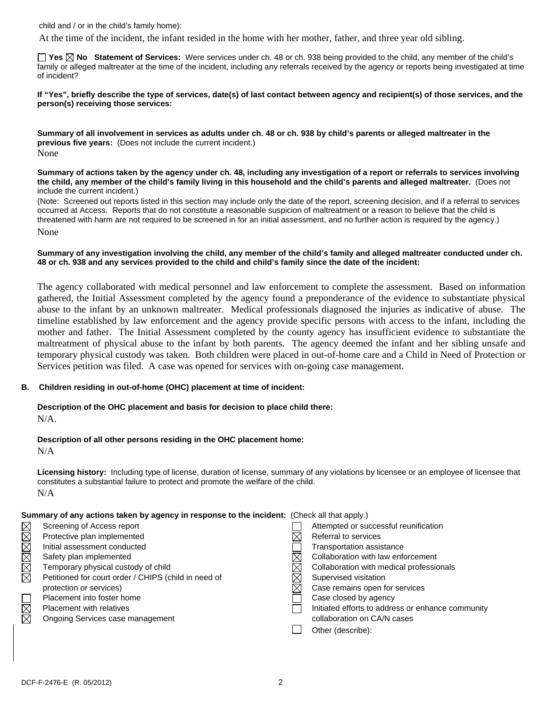child and / or in the child's family home):

At the time of the incident, the infant resided in the home with her mother, father, and three year old sibling.

**Yes No Statement of Services:** Were services under ch. 48 or ch. 938 being provided to the child, any member of the child's family or alleged maltreater at the time of the incident, including any referrals received by the agency or reports being investigated at time of incident?

**If "Yes", briefly describe the type of services, date(s) of last contact between agency and recipient(s) of those services, and the person(s) receiving those services:** 

**Summary of all involvement in services as adults under ch. 48 or ch. 938 by child's parents or alleged maltreater in the previous five years:** (Does not include the current incident.) None

**Summary of actions taken by the agency under ch. 48, including any investigation of a report or referrals to services involving the child, any member of the child's family living in this household and the child's parents and alleged maltreater.** (Does not include the current incident.)

(Note: Screened out reports listed in this section may include only the date of the report, screening decision, and if a referral to services occurred at Access. Reports that do not constitute a reasonable suspicion of maltreatment or a reason to believe that the child is threatened with harm are not required to be screened in for an initial assessment, and no further action is required by the agency.) None

**Summary of any investigation involving the child, any member of the child's family and alleged maltreater conducted under ch. 48 or ch. 938 and any services provided to the child and child's family since the date of the incident:** 

The agency collaborated with medical personnel and law enforcement to complete the assessment. Based on information gathered, the Initial Assessment completed by the agency found a preponderance of the evidence to substantiate physical abuse to the infant by an unknown maltreater. Medical professionals diagnosed the injuries as indicative of abuse. The timeline established by law enforcement and the agency provide specific persons with access to the infant, including the mother and father. The Initial Assessment completed by the county agency has insufficient evidence to substantiate the maltreatment of physical abuse to the infant by both parents. The agency deemed the infant and her sibling unsafe and temporary physical custody was taken. Both children were placed in out-of-home care and a Child in Need of Protection or Services petition was filed. A case was opened for services with on-going case management.

#### **B. Children residing in out-of-home (OHC) placement at time of incident:**

#### **Description of the OHC placement and basis for decision to place child there:** N/A.

**Description of all other persons residing in the OHC placement home:**

N/A

**Licensing history:** Including type of license, duration of license, summary of any violations by licensee or an employee of licensee that constitutes a substantial failure to protect and promote the welfare of the child. N/A

#### **Summary of any actions taken by agency in response to the incident:** (Check all that apply.)

| $\times$    | Screening of Access report                           |             | Attempted or successful reunification             |
|-------------|------------------------------------------------------|-------------|---------------------------------------------------|
| $\boxtimes$ | Protective plan implemented                          |             | Referral to services                              |
|             | Initial assessment conducted                         |             | <b>Transportation assistance</b>                  |
|             | Safety plan implemented                              |             | Collaboration with law enforcement                |
| XIXIX       | Temporary physical custody of child                  | $\times$    | Collaboration with medical professionals          |
|             | Petitioned for court order / CHIPS (child in need of | $\times$    | Supervised visitation                             |
|             | protection or services)                              | $\boxtimes$ | Case remains open for services                    |
|             | Placement into foster home                           |             | Case closed by agency                             |
| NIX<br>N    | <b>Placement with relatives</b>                      |             | Initiated efforts to address or enhance community |
|             | Ongoing Services case management                     |             | collaboration on CA/N cases                       |
|             |                                                      |             | Other (describe):                                 |
|             |                                                      |             |                                                   |